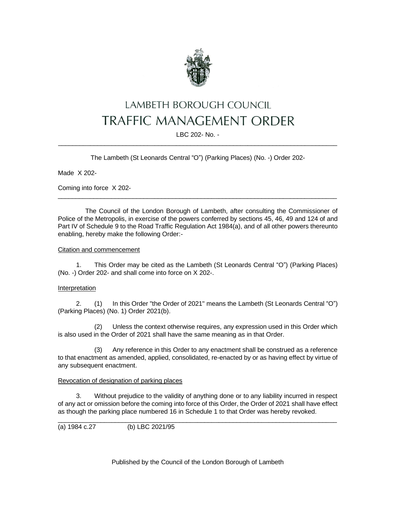

# LAMBETH BOROUGH COUNCIL **TRAFFIC MANAGEMENT ORDER**

LBC 202- No. - \_\_\_\_\_\_\_\_\_\_\_\_\_\_\_\_\_\_\_\_\_\_\_\_\_\_\_\_\_\_\_\_\_\_\_\_\_\_\_\_\_\_\_\_\_\_\_\_\_\_\_\_\_\_\_\_\_\_\_\_\_\_\_\_\_\_\_\_\_\_\_\_\_\_\_\_\_\_

The Lambeth (St Leonards Central "O") (Parking Places) (No. -) Order 202-

Made X 202-

Coming into force X 202-

The Council of the London Borough of Lambeth, after consulting the Commissioner of Police of the Metropolis, in exercise of the powers conferred by sections 45, 46, 49 and 124 of and Part IV of Schedule 9 to the Road Traffic Regulation Act 1984(a), and of all other powers thereunto enabling, hereby make the following Order:-

\_\_\_\_\_\_\_\_\_\_\_\_\_\_\_\_\_\_\_\_\_\_\_\_\_\_\_\_\_\_\_\_\_\_\_\_\_\_\_\_\_\_\_\_\_\_\_\_\_\_\_\_\_\_\_\_\_\_\_\_\_\_\_\_\_\_\_\_\_\_\_\_\_\_\_\_\_\_

### Citation and commencement

1. This Order may be cited as the Lambeth (St Leonards Central "O") (Parking Places) (No. -) Order 202- and shall come into force on X 202-.

#### Interpretation

2. (1) In this Order "the Order of 2021" means the Lambeth (St Leonards Central "O") (Parking Places) (No. 1) Order 2021(b).

(2) Unless the context otherwise requires, any expression used in this Order which is also used in the Order of 2021 shall have the same meaning as in that Order.

(3) Any reference in this Order to any enactment shall be construed as a reference to that enactment as amended, applied, consolidated, re-enacted by or as having effect by virtue of any subsequent enactment.

## Revocation of designation of parking places

3. Without prejudice to the validity of anything done or to any liability incurred in respect of any act or omission before the coming into force of this Order, the Order of 2021 shall have effect as though the parking place numbered 16 in Schedule 1 to that Order was hereby revoked.

 $\_$  ,  $\_$  ,  $\_$  ,  $\_$  ,  $\_$  ,  $\_$  ,  $\_$  ,  $\_$  ,  $\_$  ,  $\_$  ,  $\_$  ,  $\_$  ,  $\_$  ,  $\_$  ,  $\_$  ,  $\_$  ,  $\_$  ,  $\_$  ,  $\_$  ,  $\_$  ,  $\_$  ,  $\_$  ,  $\_$  ,  $\_$  ,  $\_$  ,  $\_$  ,  $\_$  ,  $\_$  ,  $\_$  ,  $\_$  ,  $\_$  ,  $\_$  ,  $\_$  ,  $\_$  ,  $\_$  ,  $\_$  ,  $\_$  ,

(a) 1984 c.27 (b) LBC 2021/95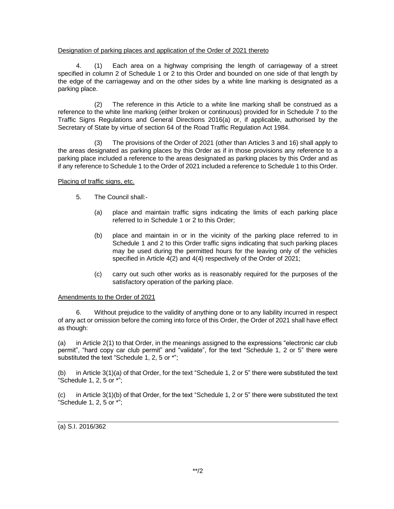#### Designation of parking places and application of the Order of 2021 thereto

4. (1) Each area on a highway comprising the length of carriageway of a street specified in column 2 of Schedule 1 or 2 to this Order and bounded on one side of that length by the edge of the carriageway and on the other sides by a white line marking is designated as a parking place.

(2) The reference in this Article to a white line marking shall be construed as a reference to the white line marking (either broken or continuous) provided for in Schedule 7 to the Traffic Signs Regulations and General Directions 2016(a) or, if applicable, authorised by the Secretary of State by virtue of section 64 of the Road Traffic Regulation Act 1984.

(3) The provisions of the Order of 2021 (other than Articles 3 and 16) shall apply to the areas designated as parking places by this Order as if in those provisions any reference to a parking place included a reference to the areas designated as parking places by this Order and as if any reference to Schedule 1 to the Order of 2021 included a reference to Schedule 1 to this Order.

### Placing of traffic signs, etc.

- 5. The Council shall:-
	- (a) place and maintain traffic signs indicating the limits of each parking place referred to in Schedule 1 or 2 to this Order;
	- (b) place and maintain in or in the vicinity of the parking place referred to in Schedule 1 and 2 to this Order traffic signs indicating that such parking places may be used during the permitted hours for the leaving only of the vehicles specified in Article 4(2) and 4(4) respectively of the Order of 2021;
	- (c) carry out such other works as is reasonably required for the purposes of the satisfactory operation of the parking place.

## Amendments to the Order of 2021

6. Without prejudice to the validity of anything done or to any liability incurred in respect of any act or omission before the coming into force of this Order, the Order of 2021 shall have effect as though:

(a) in Article 2(1) to that Order, in the meanings assigned to the expressions "electronic car club permit", "hard copy car club permit" and "validate", for the text "Schedule 1, 2 or 5" there were substituted the text "Schedule 1, 2, 5 or \*";

(b) in Article 3(1)(a) of that Order, for the text "Schedule 1, 2 or 5" there were substituted the text "Schedule 1, 2, 5 or \*";

(c) in Article 3(1)(b) of that Order, for the text "Schedule 1, 2 or 5" there were substituted the text "Schedule 1, 2, 5 or \*";

(a) S.I. 2016/362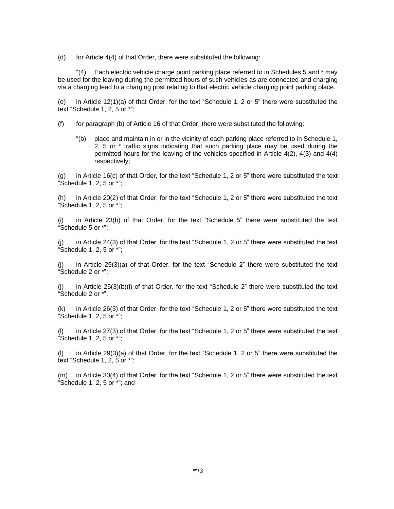(d) for Article 4(4) of that Order, there were substituted the following:

" $(4)$  Each electric vehicle charge point parking place referred to in Schedules 5 and  $*$  may be used for the leaving during the permitted hours of such vehicles as are connected and charging via a charging lead to a charging post relating to that electric vehicle charging point parking place.

(e) in Article 12(1)(a) of that Order, for the text "Schedule 1, 2 or 5" there were substituted the text "Schedule 1, 2, 5 or \*";

(f) for paragraph (b) of Article 16 of that Order, there were substituted the following:

"(b) place and maintain in or in the vicinity of each parking place referred to in Schedule 1, 2, 5 or \* traffic signs indicating that such parking place may be used during the permitted hours for the leaving of the vehicles specified in Article 4(2), 4(3) and 4(4) respectively;

(g) in Article 16(c) of that Order, for the text "Schedule 1, 2 or 5" there were substituted the text "Schedule 1, 2, 5 or \*";

(h) in Article 20(2) of that Order, for the text "Schedule 1, 2 or 5" there were substituted the text "Schedule 1, 2, 5 or \*";

(i) in Article 23(b) of that Order, for the text "Schedule 5" there were substituted the text "Schedule 5 or \*";

(j) in Article 24(3) of that Order, for the text "Schedule 1, 2 or 5" there were substituted the text "Schedule 1, 2, 5 or \*";

(j) in Article 25(3)(a) of that Order, for the text "Schedule 2" there were substituted the text "Schedule 2 or \*";

(j) in Article 25(3)(b)(i) of that Order, for the text "Schedule 2" there were substituted the text "Schedule 2 or \*";

(k) in Article 26(3) of that Order, for the text "Schedule 1, 2 or 5" there were substituted the text "Schedule 1, 2, 5 or \*";

(l) in Article 27(3) of that Order, for the text "Schedule 1, 2 or 5" there were substituted the text "Schedule 1, 2, 5 or \*";

(l) in Article 29(3)(a) of that Order, for the text "Schedule 1, 2 or 5" there were substituted the text "Schedule 1, 2, 5 or \*";

(m) in Article 30(4) of that Order, for the text "Schedule 1, 2 or 5" there were substituted the text "Schedule 1, 2, 5 or \*"; and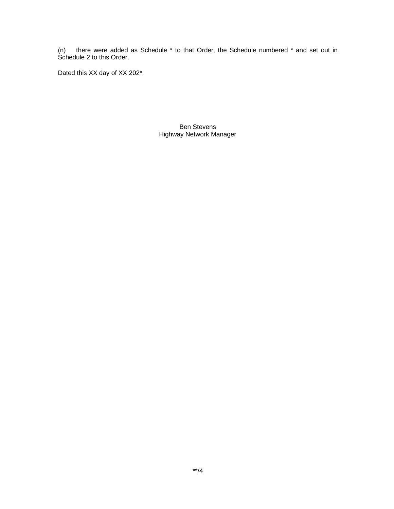(n) there were added as Schedule  $*$  to that Order, the Schedule numbered  $*$  and set out in Schedule 2 to this Order.

Dated this XX day of XX 202\*.

Ben Stevens Highway Network Manager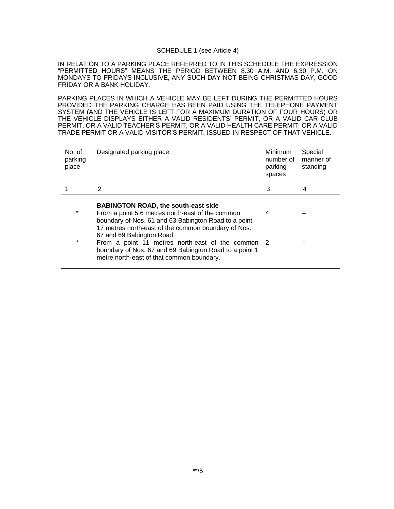#### SCHEDULE 1 (see Article 4)

IN RELATION TO A PARKING PLACE REFERRED TO IN THIS SCHEDULE THE EXPRESSION "PERMITTED HOURS" MEANS THE PERIOD BETWEEN 8.30 A.M. AND 6.30 P.M. ON MONDAYS TO FRIDAYS INCLUSIVE, ANY SUCH DAY NOT BEING CHRISTMAS DAY, GOOD FRIDAY OR A BANK HOLIDAY.

PARKING PLACES IN WHICH A VEHICLE MAY BE LEFT DURING THE PERMITTED HOURS PROVIDED THE PARKING CHARGE HAS BEEN PAID USING THE TELEPHONE PAYMENT SYSTEM (AND THE VEHICLE IS LEFT FOR A MAXIMUM DURATION OF FOUR HOURS) OR THE VEHICLE DISPLAYS EITHER A VALID RESIDENTS' PERMIT, OR A VALID CAR CLUB PERMIT, OR A VALID TEACHER'S PERMIT, OR A VALID HEALTH CARE PERMIT, OR A VALID TRADE PERMIT OR A VALID VISITOR'S PERMIT, ISSUED IN RESPECT OF THAT VEHICLE.

| No. of<br>parking<br>place | Designated parking place                                                                                                                                                                                                                   | Minimum<br>number of<br>parking<br>spaces | Special<br>manner of<br>standing |
|----------------------------|--------------------------------------------------------------------------------------------------------------------------------------------------------------------------------------------------------------------------------------------|-------------------------------------------|----------------------------------|
|                            | 2                                                                                                                                                                                                                                          | 3                                         | 4                                |
| $\star$                    | <b>BABINGTON ROAD, the south-east side</b><br>From a point 5.6 metres north-east of the common<br>boundary of Nos. 61 and 63 Babington Road to a point<br>17 metres north-east of the common boundary of Nos.<br>67 and 69 Babington Road. | 4                                         |                                  |
| $\star$                    | From a point 11 metres north-east of the common 2<br>boundary of Nos. 67 and 69 Babington Road to a point 1<br>metre north-east of that common boundary.                                                                                   |                                           |                                  |